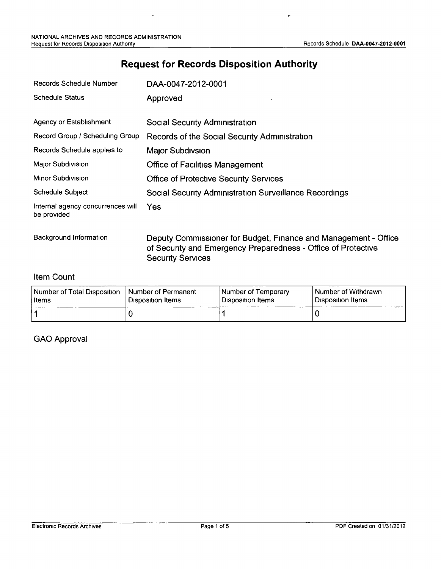÷

# **Request for Records Disposition Authority**

| Records Schedule Number                          | DAA-0047-2012-0001                                                                                                                                           |
|--------------------------------------------------|--------------------------------------------------------------------------------------------------------------------------------------------------------------|
| <b>Schedule Status</b>                           | Approved                                                                                                                                                     |
| Agency or Establishment                          | Social Security Administration                                                                                                                               |
| Record Group / Scheduling Group                  | Records of the Social Security Administration                                                                                                                |
| Records Schedule applies to                      | Major Subdivsion                                                                                                                                             |
| Major Subdivision                                | <b>Office of Facilities Management</b>                                                                                                                       |
| Minor Subdivision                                | <b>Office of Protective Security Services</b>                                                                                                                |
| Schedule Subject                                 | <b>Social Security Administration Surveillance Recordings</b>                                                                                                |
| Internal agency concurrences will<br>be provided | <b>Yes</b>                                                                                                                                                   |
| Background Information                           | Deputy Commissioner for Budget, Finance and Management - Office<br>of Security and Emergency Preparedness - Office of Protective<br><b>Security Services</b> |

#### Item Count

| Number of Total Disposition | I Number of Permanent | Number of Temporary      | Number of Withdrawn |
|-----------------------------|-----------------------|--------------------------|---------------------|
| l Items                     | ! Disposition Items   | <b>Disposition Items</b> | l Disposition Items |
|                             |                       |                          |                     |

#### GAO Approval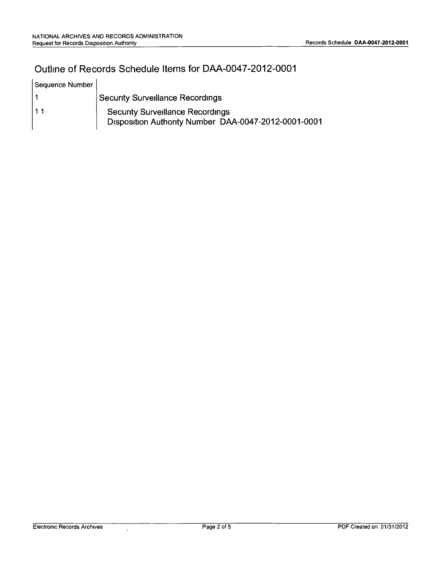## Outline of Records Schedule Items for DM-0047-2012-0001

| Sequence Number |                                                                                                 |
|-----------------|-------------------------------------------------------------------------------------------------|
|                 | <b>Security Surveillance Recordings</b>                                                         |
| 11              | <b>Security Surveillance Recordings</b><br>Disposition Authority Number DAA-0047-2012-0001-0001 |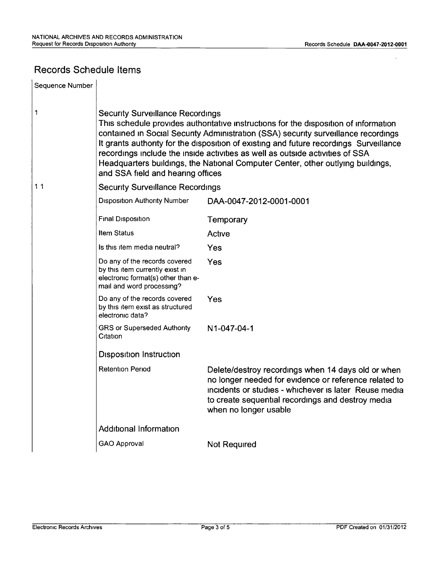## Records Schedule Items

| Sequence Number |                                                                                                                                                                                                                                                                                                                                                                                                                                                                                                                          |                                                                                                                                                                                                                                                    |  |  |  |
|-----------------|--------------------------------------------------------------------------------------------------------------------------------------------------------------------------------------------------------------------------------------------------------------------------------------------------------------------------------------------------------------------------------------------------------------------------------------------------------------------------------------------------------------------------|----------------------------------------------------------------------------------------------------------------------------------------------------------------------------------------------------------------------------------------------------|--|--|--|
| 1               | <b>Security Surveillance Recordings</b><br>This schedule provides authoritative instructions for the disposition of information<br>contained in Social Security Administration (SSA) security surveillance recordings<br>It grants authority for the disposition of existing and future recordings Surveillance<br>recordings include the inside activities as well as outside activities of SSA<br>Headquarters buildings, the National Computer Center, other outlying buildings,<br>and SSA field and hearing offices |                                                                                                                                                                                                                                                    |  |  |  |
| 11              | <b>Security Surveillance Recordings</b>                                                                                                                                                                                                                                                                                                                                                                                                                                                                                  |                                                                                                                                                                                                                                                    |  |  |  |
|                 | <b>Disposition Authority Number</b>                                                                                                                                                                                                                                                                                                                                                                                                                                                                                      | DAA-0047-2012-0001-0001                                                                                                                                                                                                                            |  |  |  |
|                 | <b>Final Disposition</b>                                                                                                                                                                                                                                                                                                                                                                                                                                                                                                 | Temporary                                                                                                                                                                                                                                          |  |  |  |
|                 | <b>Item Status</b>                                                                                                                                                                                                                                                                                                                                                                                                                                                                                                       | Active                                                                                                                                                                                                                                             |  |  |  |
|                 | Is this item media neutral?                                                                                                                                                                                                                                                                                                                                                                                                                                                                                              | Yes                                                                                                                                                                                                                                                |  |  |  |
|                 | Do any of the records covered<br>by this item currently exist in<br>electronic format(s) other than e-<br>mail and word processing?                                                                                                                                                                                                                                                                                                                                                                                      | Yes                                                                                                                                                                                                                                                |  |  |  |
|                 | Do any of the records covered<br>by this item exist as structured<br>electronic data?                                                                                                                                                                                                                                                                                                                                                                                                                                    | Yes                                                                                                                                                                                                                                                |  |  |  |
|                 | <b>GRS or Superseded Authority</b><br>Citation                                                                                                                                                                                                                                                                                                                                                                                                                                                                           | N1-047-04-1                                                                                                                                                                                                                                        |  |  |  |
|                 | <b>Disposition Instruction</b>                                                                                                                                                                                                                                                                                                                                                                                                                                                                                           |                                                                                                                                                                                                                                                    |  |  |  |
|                 | <b>Retention Period</b>                                                                                                                                                                                                                                                                                                                                                                                                                                                                                                  | Delete/destroy recordings when 14 days old or when<br>no longer needed for evidence or reference related to<br>incidents or studies - whichever is later Reuse media<br>to create sequential recordings and destroy media<br>when no longer usable |  |  |  |
|                 | <b>Additional Information</b>                                                                                                                                                                                                                                                                                                                                                                                                                                                                                            |                                                                                                                                                                                                                                                    |  |  |  |
|                 | <b>GAO Approval</b>                                                                                                                                                                                                                                                                                                                                                                                                                                                                                                      | <b>Not Required</b>                                                                                                                                                                                                                                |  |  |  |
|                 |                                                                                                                                                                                                                                                                                                                                                                                                                                                                                                                          |                                                                                                                                                                                                                                                    |  |  |  |